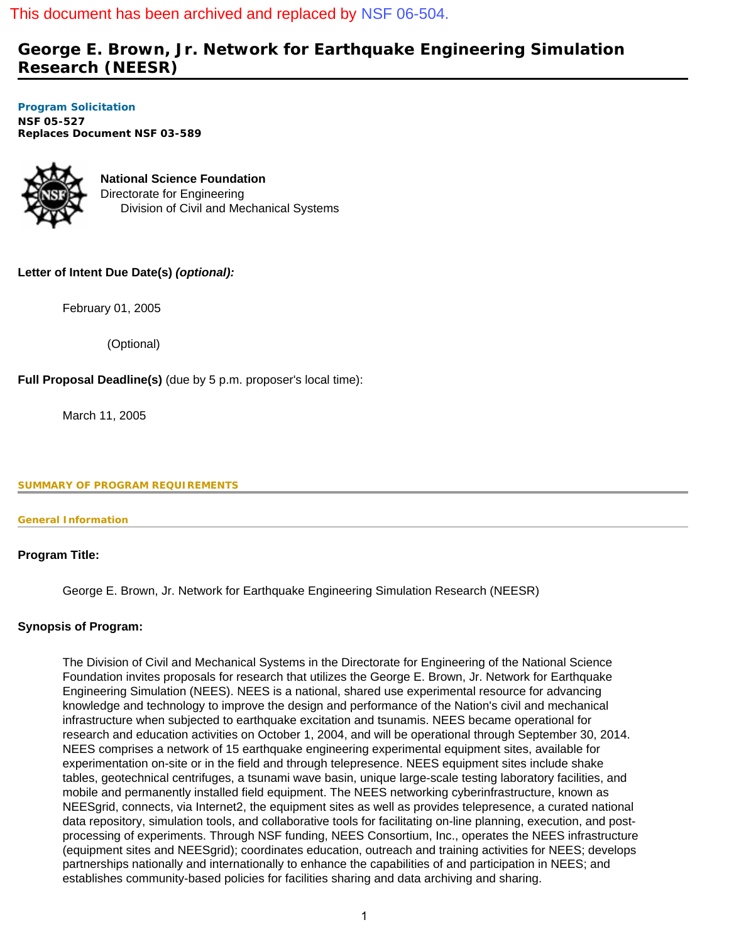## This document has been archived and replaced by [NSF 06-504.](http://www.nsf.gov/publications/pub_summ.jsp?ods_key=nsf06504)

# **George E. Brown, Jr. Network for Earthquake Engineering Simulation Research (NEESR)**

**[Program Solicitation](#page-2-0)  NSF 05-527**  *Replaces Document* **NSF 03-589** 



**National Science Foundation** Directorate for Engineering Division of Civil and Mechanical Systems

## **Letter of Intent Due Date(s)** *(optional):*

February 01, 2005

(Optional)

**Full Proposal Deadline(s)** (due by 5 p.m. proposer's local time):

March 11, 2005

#### <span id="page-0-0"></span>**SUMMARY OF PROGRAM REQUIREMENTS**

#### **General Information**

## **Program Title:**

George E. Brown, Jr. Network for Earthquake Engineering Simulation Research (NEESR)

## **Synopsis of Program:**

The Division of Civil and Mechanical Systems in the Directorate for Engineering of the National Science Foundation invites proposals for research that utilizes the George E. Brown, Jr. Network for Earthquake Engineering Simulation (NEES). NEES is a national, shared use experimental resource for advancing knowledge and technology to improve the design and performance of the Nation's civil and mechanical infrastructure when subjected to earthquake excitation and tsunamis. NEES became operational for research and education activities on October 1, 2004, and will be operational through September 30, 2014. NEES comprises a network of 15 earthquake engineering experimental equipment sites, available for experimentation on-site or in the field and through telepresence. NEES equipment sites include shake tables, geotechnical centrifuges, a tsunami wave basin, unique large-scale testing laboratory facilities, and mobile and permanently installed field equipment. The NEES networking cyberinfrastructure, known as NEESgrid, connects, via Internet2, the equipment sites as well as provides telepresence, a curated national data repository, simulation tools, and collaborative tools for facilitating on-line planning, execution, and postprocessing of experiments. Through NSF funding, NEES Consortium, Inc., operates the NEES infrastructure (equipment sites and NEESgrid); coordinates education, outreach and training activities for NEES; develops partnerships nationally and internationally to enhance the capabilities of and participation in NEES; and establishes community-based policies for facilities sharing and data archiving and sharing.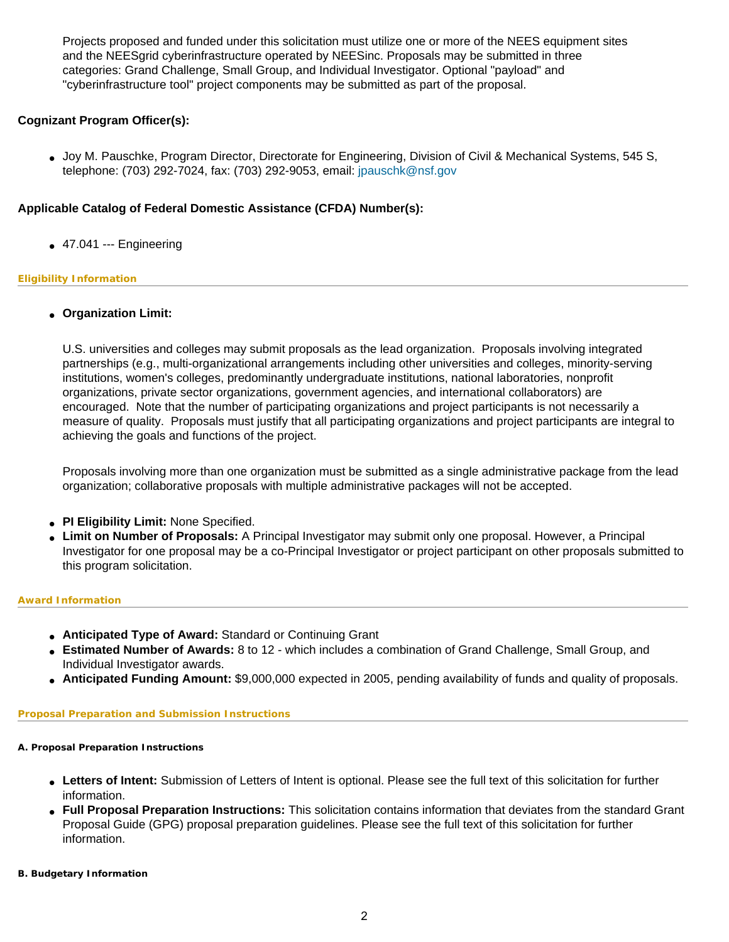Projects proposed and funded under this solicitation must utilize one or more of the NEES equipment sites and the NEESgrid cyberinfrastructure operated by NEESinc. Proposals may be submitted in three categories: Grand Challenge, Small Group, and Individual Investigator. Optional "payload" and "cyberinfrastructure tool" project components may be submitted as part of the proposal.

## **Cognizant Program Officer(s):**

● Joy M. Pauschke, Program Director, Directorate for Engineering, Division of Civil & Mechanical Systems, 545 S, telephone: (703) 292-7024, fax: (703) 292-9053, email: [jpauschk@nsf.gov](mailto:jpauschk@nsf.gov)

### **Applicable Catalog of Federal Domestic Assistance (CFDA) Number(s):**

 $\bullet$  47.041 --- Engineering

#### **Eligibility Information**

● **Organization Limit:** 

U.S. universities and colleges may submit proposals as the lead organization. Proposals involving integrated partnerships (e.g., multi-organizational arrangements including other universities and colleges, minority-serving institutions, women's colleges, predominantly undergraduate institutions, national laboratories, nonprofit organizations, private sector organizations, government agencies, and international collaborators) are encouraged. Note that the number of participating organizations and project participants is not necessarily a measure of quality. Proposals must justify that all participating organizations and project participants are integral to achieving the goals and functions of the project.

Proposals involving more than one organization must be submitted as a single administrative package from the lead organization; collaborative proposals with multiple administrative packages will not be accepted.

- **PI Eligibility Limit:** None Specified.
- **Limit on Number of Proposals:** A Principal Investigator may submit only one proposal. However, a Principal Investigator for one proposal may be a co-Principal Investigator or project participant on other proposals submitted to this program solicitation.

#### **Award Information**

- **Anticipated Type of Award:** Standard or Continuing Grant
- **Estimated Number of Awards:** 8 to 12 which includes a combination of Grand Challenge, Small Group, and Individual Investigator awards.
- **Anticipated Funding Amount:** \$9,000,000 expected in 2005, pending availability of funds and quality of proposals.

#### **Proposal Preparation and Submission Instructions**

#### **A. Proposal Preparation Instructions**

- Letters of Intent: Submission of Letters of Intent is optional. Please see the full text of this solicitation for further information.
- **Full Proposal Preparation Instructions:** This solicitation contains information that deviates from the standard Grant Proposal Guide (GPG) proposal preparation guidelines. Please see the full text of this solicitation for further information.

#### **B. Budgetary Information**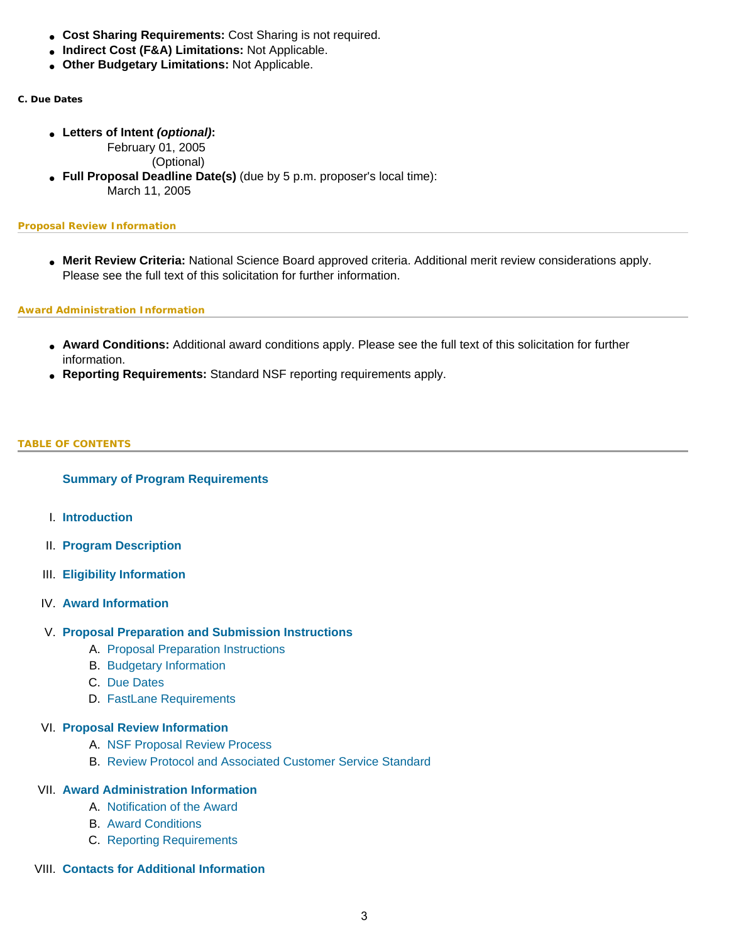- **Cost Sharing Requirements:** Cost Sharing is not required.
- **Indirect Cost (F&A) Limitations:** Not Applicable.
- **Other Budgetary Limitations:** Not Applicable.
- **C. Due Dates**
	- **Letters of Intent** *(optional)***:**

February 01, 2005

(Optional)

● **Full Proposal Deadline Date(s)** (due by 5 p.m. proposer's local time): March 11, 2005

#### **Proposal Review Information**

● **Merit Review Criteria:** National Science Board approved criteria. Additional merit review considerations apply. Please see the full text of this solicitation for further information.

#### **Award Administration Information**

- **Award Conditions:** Additional award conditions apply. Please see the full text of this solicitation for further information.
- **Reporting Requirements:** Standard NSF reporting requirements apply.

#### <span id="page-2-0"></span>**TABLE OF CONTENTS**

#### **[Summary of Program Requirements](#page-0-0)**

- I. **[Introduction](#page-3-0)**
- II. **[Program Description](#page-4-0)**
- III. **[Eligibility Information](#page-8-0)**
- IV. **[Award Information](#page-9-0)**
- V. **[Proposal Preparation and Submission Instructions](#page-9-1)**
	- A. [Proposal Preparation Instructions](#page-9-1)
	- B. [Budgetary Information](#page-11-0)
	- C. [Due Dates](#page-11-1)
	- D. [FastLane Requirements](#page-12-0)

#### VI. **[Proposal Review Information](#page-12-1)**

- A. [NSF Proposal Review Process](#page-12-2)
- B. [Review Protocol and Associated Customer Service Standard](#page-14-0)

## VII. **[Award Administration Information](#page-14-1)**

- A. [Notification of the Award](#page-14-2)
- B. [Award Conditions](#page-14-3)
- C. [Reporting Requirements](#page-15-0)
- VIII. **[Contacts for Additional Information](#page-15-1)**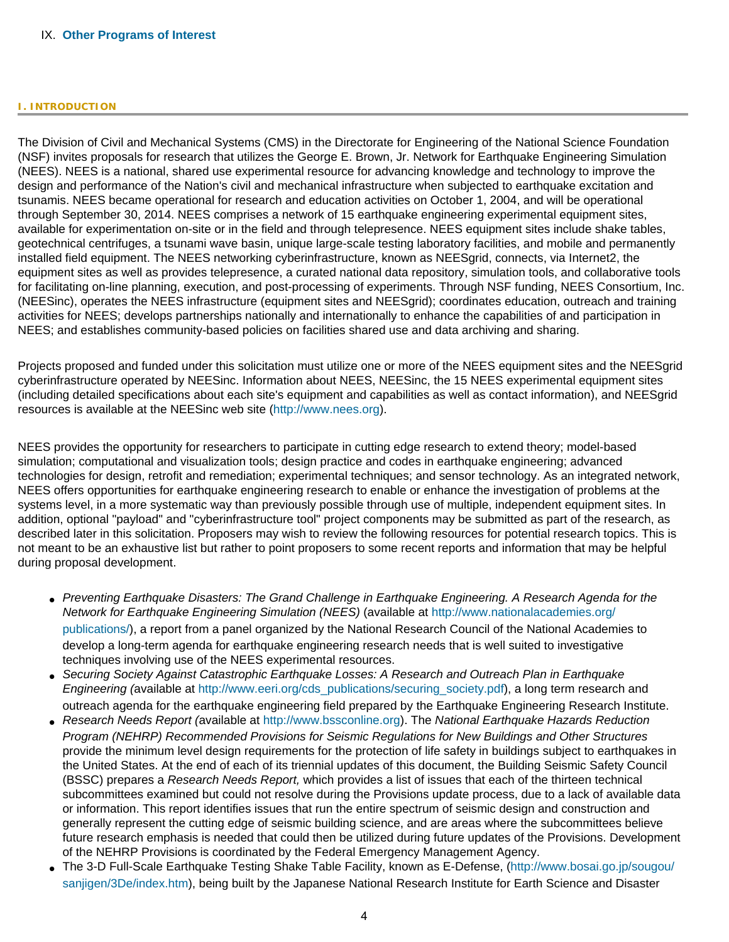#### IX. **[Other Programs of Interest](#page-17-0)**

#### <span id="page-3-0"></span>**I. INTRODUCTION**

The Division of Civil and Mechanical Systems (CMS) in the Directorate for Engineering of the National Science Foundation (NSF) invites proposals for research that utilizes the George E. Brown, Jr. Network for Earthquake Engineering Simulation (NEES). NEES is a national, shared use experimental resource for advancing knowledge and technology to improve the design and performance of the Nation's civil and mechanical infrastructure when subjected to earthquake excitation and tsunamis. NEES became operational for research and education activities on October 1, 2004, and will be operational through September 30, 2014. NEES comprises a network of 15 earthquake engineering experimental equipment sites, available for experimentation on-site or in the field and through telepresence. NEES equipment sites include shake tables, geotechnical centrifuges, a tsunami wave basin, unique large-scale testing laboratory facilities, and mobile and permanently installed field equipment. The NEES networking cyberinfrastructure, known as NEESgrid, connects, via Internet2, the equipment sites as well as provides telepresence, a curated national data repository, simulation tools, and collaborative tools for facilitating on-line planning, execution, and post-processing of experiments. Through NSF funding, NEES Consortium, Inc. (NEESinc), operates the NEES infrastructure (equipment sites and NEESgrid); coordinates education, outreach and training activities for NEES; develops partnerships nationally and internationally to enhance the capabilities of and participation in NEES; and establishes community-based policies on facilities shared use and data archiving and sharing.

Projects proposed and funded under this solicitation must utilize one or more of the NEES equipment sites and the NEESgrid cyberinfrastructure operated by NEESinc. Information about NEES, NEESinc, the 15 NEES experimental equipment sites (including detailed specifications about each site's equipment and capabilities as well as contact information), and NEESgrid resources is available at the NEESinc web site ([http://www.nees.org\)](http://www.nees.org/).

NEES provides the opportunity for researchers to participate in cutting edge research to extend theory; model-based simulation; computational and visualization tools; design practice and codes in earthquake engineering; advanced technologies for design, retrofit and remediation; experimental techniques; and sensor technology. As an integrated network, NEES offers opportunities for earthquake engineering research to enable or enhance the investigation of problems at the systems level, in a more systematic way than previously possible through use of multiple, independent equipment sites. In addition, optional "payload" and "cyberinfrastructure tool" project components may be submitted as part of the research, as described later in this solicitation. Proposers may wish to review the following resources for potential research topics. This is not meant to be an exhaustive list but rather to point proposers to some recent reports and information that may be helpful during proposal development.

- *Preventing Earthquake Disasters: The Grand Challenge in Earthquake Engineering. A Research Agenda for the Network for Earthquake Engineering Simulation (NEES)* (available at [http://www.nationalacademies.org/](http://www.nationalacademies.org/publications/) [publications/\)](http://www.nationalacademies.org/publications/), a report from a panel organized by the National Research Council of the National Academies to develop a long-term agenda for earthquake engineering research needs that is well suited to investigative techniques involving use of the NEES experimental resources.
- *Securing Society Against Catastrophic Earthquake Losses: A Research and Outreach Plan in Earthquake Engineering (*available at [http://www.eeri.org/cds\\_publications/securing\\_society.pdf](http://www.eeri.org/cds_publications/securing_society.pdf)), a long term research and outreach agenda for the earthquake engineering field prepared by the Earthquake Engineering Research Institute.
- *Research Needs Report (*available at [http://www.bssconline.org](http://www.bssconline.org/)). The *National Earthquake Hazards Reduction Program (NEHRP) Recommended Provisions for Seismic Regulations for New Buildings and Other Structures* provide the minimum level design requirements for the protection of life safety in buildings subject to earthquakes in the United States. At the end of each of its triennial updates of this document, the Building Seismic Safety Council (BSSC) prepares a *Research Needs Report,* which provides a list of issues that each of the thirteen technical subcommittees examined but could not resolve during the Provisions update process, due to a lack of available data or information. This report identifies issues that run the entire spectrum of seismic design and construction and generally represent the cutting edge of seismic building science, and are areas where the subcommittees believe future research emphasis is needed that could then be utilized during future updates of the Provisions. Development of the NEHRP Provisions is coordinated by the Federal Emergency Management Agency.
- The 3-D Full-Scale Earthquake Testing Shake Table Facility, known as E-Defense, ([http://www.bosai.go.jp/sougou/](http://www.bosai.go.jp/sougou/sanjigen/3De/index.htm) [sanjigen/3De/index.htm](http://www.bosai.go.jp/sougou/sanjigen/3De/index.htm)), being built by the Japanese National Research Institute for Earth Science and Disaster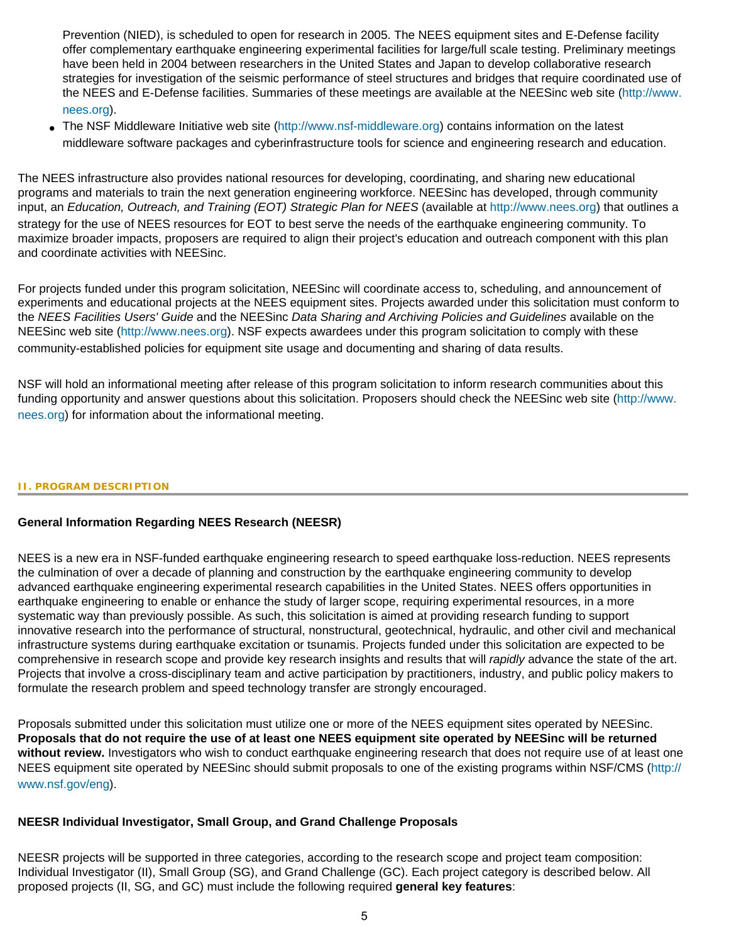Prevention (NIED), is scheduled to open for research in 2005. The NEES equipment sites and E-Defense facility offer complementary earthquake engineering experimental facilities for large/full scale testing. Preliminary meetings have been held in 2004 between researchers in the United States and Japan to develop collaborative research strategies for investigation of the seismic performance of steel structures and bridges that require coordinated use of the NEES and E-Defense facilities. Summaries of these meetings are available at the NEESinc web site ([http://www.](http://www.nees.org/) [nees.org\)](http://www.nees.org/).

• The NSF Middleware Initiative web site [\(http://www.nsf-middleware.org](http://www.nsf-middleware.org/)) contains information on the latest middleware software packages and cyberinfrastructure tools for science and engineering research and education.

The NEES infrastructure also provides national resources for developing, coordinating, and sharing new educational programs and materials to train the next generation engineering workforce. NEESinc has developed, through community input, an *Education, Outreach, and Training (EOT) Strategic Plan for NEES* (available at [http://www.nees.org](http://www.nees.org/)) that outlines a strategy for the use of NEES resources for EOT to best serve the needs of the earthquake engineering community. To maximize broader impacts, proposers are required to align their project's education and outreach component with this plan and coordinate activities with NEESinc.

For projects funded under this program solicitation, NEESinc will coordinate access to, scheduling, and announcement of experiments and educational projects at the NEES equipment sites. Projects awarded under this solicitation must conform to the *NEES Facilities Users' Guide* and the NEESinc *Data Sharing and Archiving Policies and Guidelines* available on the NEESinc web site ([http://www.nees.org\)](http://www.nees.org/). NSF expects awardees under this program solicitation to comply with these community-established policies for equipment site usage and documenting and sharing of data results.

NSF will hold an informational meeting after release of this program solicitation to inform research communities about this funding opportunity and answer questions about this solicitation. Proposers should check the NEESinc web site [\(http://www.](http://www.nees.org/) [nees.org](http://www.nees.org/)) for information about the informational meeting.

#### <span id="page-4-0"></span>**II. PROGRAM DESCRIPTION**

## **General Information Regarding NEES Research (NEESR)**

NEES is a new era in NSF-funded earthquake engineering research to speed earthquake loss-reduction. NEES represents the culmination of over a decade of planning and construction by the earthquake engineering community to develop advanced earthquake engineering experimental research capabilities in the United States. NEES offers opportunities in earthquake engineering to enable or enhance the study of larger scope, requiring experimental resources, in a more systematic way than previously possible. As such, this solicitation is aimed at providing research funding to support innovative research into the performance of structural, nonstructural, geotechnical, hydraulic, and other civil and mechanical infrastructure systems during earthquake excitation or tsunamis. Projects funded under this solicitation are expected to be comprehensive in research scope and provide key research insights and results that will *rapidly* advance the state of the art. Projects that involve a cross-disciplinary team and active participation by practitioners, industry, and public policy makers to formulate the research problem and speed technology transfer are strongly encouraged.

Proposals submitted under this solicitation must utilize one or more of the NEES equipment sites operated by NEESinc. **Proposals that do not require the use of at least one NEES equipment site operated by NEESinc will be returned without review.** Investigators who wish to conduct earthquake engineering research that does not require use of at least one NEES equipment site operated by NEESinc should submit proposals to one of the existing programs within NSF/CMS [\(http://](http://www.nsf.gov/eng) [www.nsf.gov/eng\)](http://www.nsf.gov/eng).

## **NEESR Individual Investigator, Small Group, and Grand Challenge Proposals**

NEESR projects will be supported in three categories, according to the research scope and project team composition: Individual Investigator (II), Small Group (SG), and Grand Challenge (GC). Each project category is described below. All proposed projects (II, SG, and GC) must include the following required **general key features**: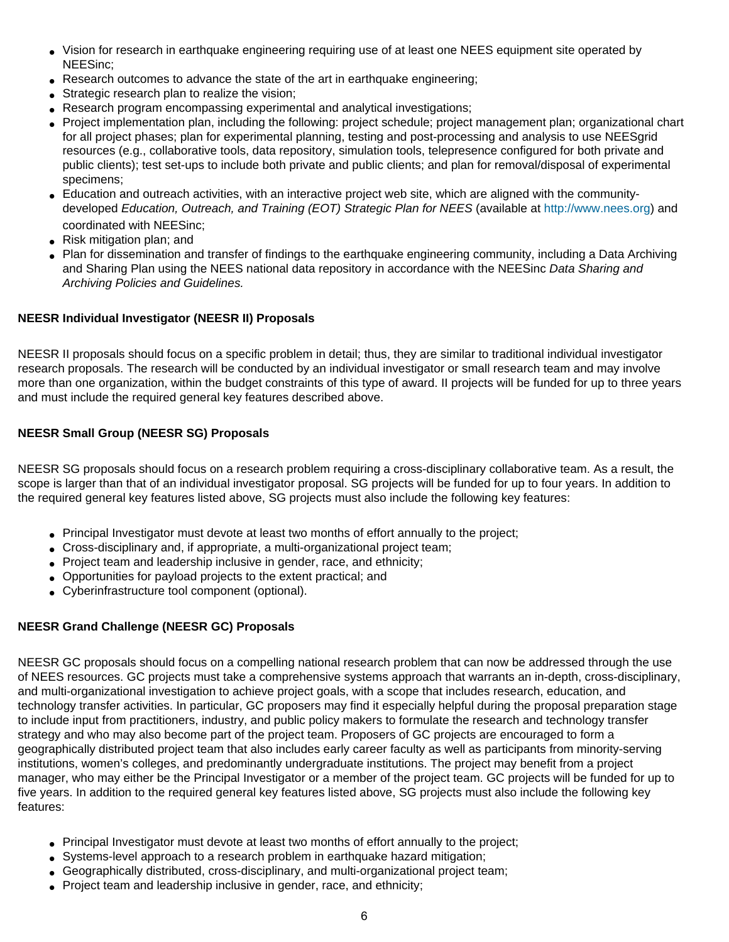- Vision for research in earthquake engineering requiring use of at least one NEES equipment site operated by NEESinc;
- Research outcomes to advance the state of the art in earthquake engineering;
- Strategic research plan to realize the vision;
- Research program encompassing experimental and analytical investigations;
- Project implementation plan, including the following: project schedule; project management plan; organizational chart for all project phases; plan for experimental planning, testing and post-processing and analysis to use NEESgrid resources (e.g., collaborative tools, data repository, simulation tools, telepresence configured for both private and public clients); test set-ups to include both private and public clients; and plan for removal/disposal of experimental specimens;
- Education and outreach activities, with an interactive project web site, which are aligned with the communitydeveloped *Education, Outreach, and Training (EOT) Strategic Plan for NEES* (available at [http://www.nees.org](http://www.nees.org/)) and coordinated with NEESinc;
- Risk mitigation plan; and
- Plan for dissemination and transfer of findings to the earthquake engineering community, including a Data Archiving and Sharing Plan using the NEES national data repository in accordance with the NEESinc *Data Sharing and Archiving Policies and Guidelines.*

## **NEESR Individual Investigator (NEESR II) Proposals**

NEESR II proposals should focus on a specific problem in detail; thus, they are similar to traditional individual investigator research proposals. The research will be conducted by an individual investigator or small research team and may involve more than one organization, within the budget constraints of this type of award. II projects will be funded for up to three years and must include the required general key features described above.

## **NEESR Small Group (NEESR SG) Proposals**

NEESR SG proposals should focus on a research problem requiring a cross-disciplinary collaborative team. As a result, the scope is larger than that of an individual investigator proposal. SG projects will be funded for up to four years. In addition to the required general key features listed above, SG projects must also include the following key features:

- Principal Investigator must devote at least two months of effort annually to the project;
- Cross-disciplinary and, if appropriate, a multi-organizational project team;
- Project team and leadership inclusive in gender, race, and ethnicity;
- Opportunities for payload projects to the extent practical; and
- Cyberinfrastructure tool component (optional).

## **NEESR Grand Challenge (NEESR GC) Proposals**

NEESR GC proposals should focus on a compelling national research problem that can now be addressed through the use of NEES resources. GC projects must take a comprehensive systems approach that warrants an in-depth, cross-disciplinary, and multi-organizational investigation to achieve project goals, with a scope that includes research, education, and technology transfer activities. In particular, GC proposers may find it especially helpful during the proposal preparation stage to include input from practitioners, industry, and public policy makers to formulate the research and technology transfer strategy and who may also become part of the project team. Proposers of GC projects are encouraged to form a geographically distributed project team that also includes early career faculty as well as participants from minority-serving institutions, women's colleges, and predominantly undergraduate institutions. The project may benefit from a project manager, who may either be the Principal Investigator or a member of the project team. GC projects will be funded for up to five years. In addition to the required general key features listed above, SG projects must also include the following key features:

- Principal Investigator must devote at least two months of effort annually to the project;
- Systems-level approach to a research problem in earthquake hazard mitigation;
- Geographically distributed, cross-disciplinary, and multi-organizational project team;
- Project team and leadership inclusive in gender, race, and ethnicity;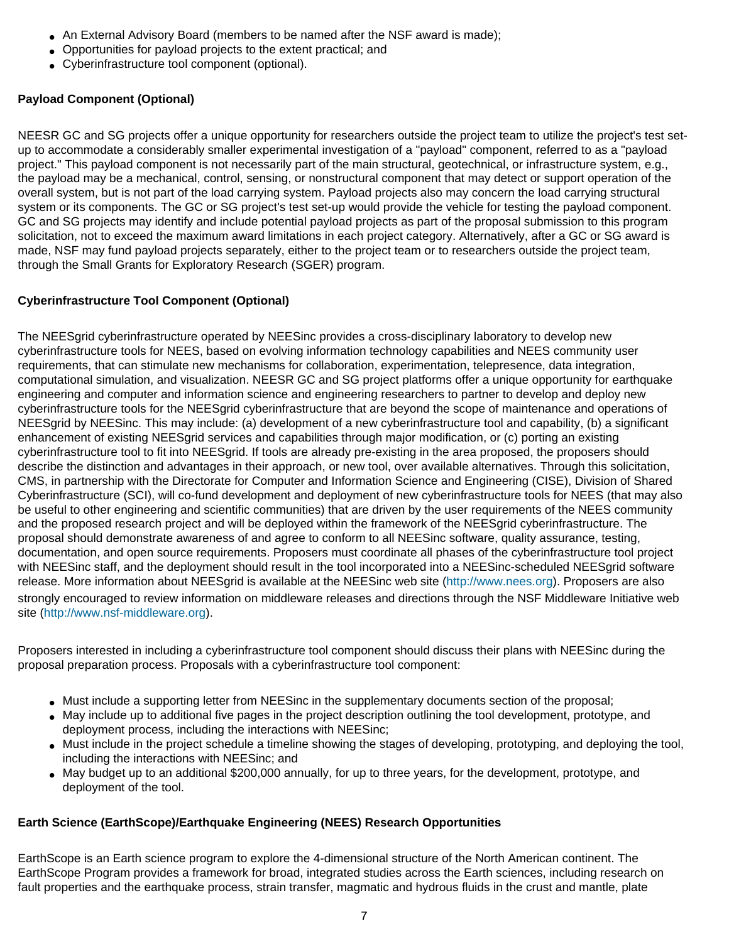- An External Advisory Board (members to be named after the NSF award is made):
- Opportunities for payload projects to the extent practical; and
- Cyberinfrastructure tool component (optional).

## **Payload Component (Optional)**

NEESR GC and SG projects offer a unique opportunity for researchers outside the project team to utilize the project's test setup to accommodate a considerably smaller experimental investigation of a "payload" component, referred to as a "payload project." This payload component is not necessarily part of the main structural, geotechnical, or infrastructure system, e.g., the payload may be a mechanical, control, sensing, or nonstructural component that may detect or support operation of the overall system, but is not part of the load carrying system. Payload projects also may concern the load carrying structural system or its components. The GC or SG project's test set-up would provide the vehicle for testing the payload component. GC and SG projects may identify and include potential payload projects as part of the proposal submission to this program solicitation, not to exceed the maximum award limitations in each project category. Alternatively, after a GC or SG award is made, NSF may fund payload projects separately, either to the project team or to researchers outside the project team, through the Small Grants for Exploratory Research (SGER) program.

## **Cyberinfrastructure Tool Component (Optional)**

The NEESgrid cyberinfrastructure operated by NEESinc provides a cross-disciplinary laboratory to develop new cyberinfrastructure tools for NEES, based on evolving information technology capabilities and NEES community user requirements, that can stimulate new mechanisms for collaboration, experimentation, telepresence, data integration, computational simulation, and visualization. NEESR GC and SG project platforms offer a unique opportunity for earthquake engineering and computer and information science and engineering researchers to partner to develop and deploy new cyberinfrastructure tools for the NEESgrid cyberinfrastructure that are beyond the scope of maintenance and operations of NEESgrid by NEESinc. This may include: (a) development of a new cyberinfrastructure tool and capability, (b) a significant enhancement of existing NEESgrid services and capabilities through major modification, or (c) porting an existing cyberinfrastructure tool to fit into NEESgrid. If tools are already pre-existing in the area proposed, the proposers should describe the distinction and advantages in their approach, or new tool, over available alternatives. Through this solicitation, CMS, in partnership with the Directorate for Computer and Information Science and Engineering (CISE), Division of Shared Cyberinfrastructure (SCI), will co-fund development and deployment of new cyberinfrastructure tools for NEES (that may also be useful to other engineering and scientific communities) that are driven by the user requirements of the NEES community and the proposed research project and will be deployed within the framework of the NEESgrid cyberinfrastructure. The proposal should demonstrate awareness of and agree to conform to all NEESinc software, quality assurance, testing, documentation, and open source requirements. Proposers must coordinate all phases of the cyberinfrastructure tool project with NEESinc staff, and the deployment should result in the tool incorporated into a NEESinc-scheduled NEESgrid software release. More information about NEESgrid is available at the NEESinc web site [\(http://www.nees.org](http://www.nees.org/)). Proposers are also strongly encouraged to review information on middleware releases and directions through the NSF Middleware Initiative web site ([http://www.nsf-middleware.org\)](http://www.nsf-middleware.org/).

Proposers interested in including a cyberinfrastructure tool component should discuss their plans with NEESinc during the proposal preparation process. Proposals with a cyberinfrastructure tool component:

- Must include a supporting letter from NEESinc in the supplementary documents section of the proposal;
- May include up to additional five pages in the project description outlining the tool development, prototype, and deployment process, including the interactions with NEESinc;
- Must include in the project schedule a timeline showing the stages of developing, prototyping, and deploying the tool, including the interactions with NEESinc; and
- May budget up to an additional \$200,000 annually, for up to three years, for the development, prototype, and deployment of the tool.

## **Earth Science (EarthScope)/Earthquake Engineering (NEES) Research Opportunities**

EarthScope is an Earth science program to explore the 4-dimensional structure of the North American continent. The EarthScope Program provides a framework for broad, integrated studies across the Earth sciences, including research on fault properties and the earthquake process, strain transfer, magmatic and hydrous fluids in the crust and mantle, plate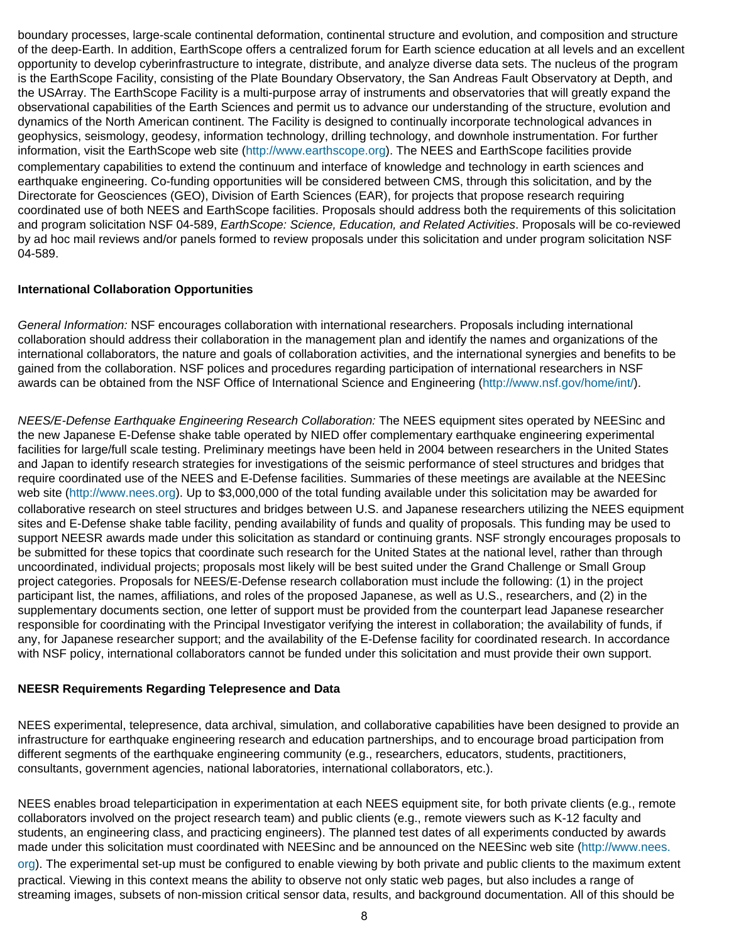boundary processes, large-scale continental deformation, continental structure and evolution, and composition and structure of the deep-Earth. In addition, EarthScope offers a centralized forum for Earth science education at all levels and an excellent opportunity to develop cyberinfrastructure to integrate, distribute, and analyze diverse data sets. The nucleus of the program is the EarthScope Facility, consisting of the Plate Boundary Observatory, the San Andreas Fault Observatory at Depth, and the USArray. The EarthScope Facility is a multi-purpose array of instruments and observatories that will greatly expand the observational capabilities of the Earth Sciences and permit us to advance our understanding of the structure, evolution and dynamics of the North American continent. The Facility is designed to continually incorporate technological advances in geophysics, seismology, geodesy, information technology, drilling technology, and downhole instrumentation. For further information, visit the EarthScope web site ([http://www.earthscope.org](http://www.earthscope.org/)). The NEES and EarthScope facilities provide complementary capabilities to extend the continuum and interface of knowledge and technology in earth sciences and earthquake engineering. Co-funding opportunities will be considered between CMS, through this solicitation, and by the Directorate for Geosciences (GEO), Division of Earth Sciences (EAR), for projects that propose research requiring coordinated use of both NEES and EarthScope facilities. Proposals should address both the requirements of this solicitation and program solicitation NSF 04-589, *EarthScope: Science, Education, and Related Activities*. Proposals will be co-reviewed by ad hoc mail reviews and/or panels formed to review proposals under this solicitation and under program solicitation NSF 04-589.

## **International Collaboration Opportunities**

*General Information:* NSF encourages collaboration with international researchers. Proposals including international collaboration should address their collaboration in the management plan and identify the names and organizations of the international collaborators, the nature and goals of collaboration activities, and the international synergies and benefits to be gained from the collaboration. NSF polices and procedures regarding participation of international researchers in NSF awards can be obtained from the NSF Office of International Science and Engineering (<http://www.nsf.gov/home/int/>).

*NEES/E-Defense Earthquake Engineering Research Collaboration:* The NEES equipment sites operated by NEESinc and the new Japanese E-Defense shake table operated by NIED offer complementary earthquake engineering experimental facilities for large/full scale testing. Preliminary meetings have been held in 2004 between researchers in the United States and Japan to identify research strategies for investigations of the seismic performance of steel structures and bridges that require coordinated use of the NEES and E-Defense facilities. Summaries of these meetings are available at the NEESinc web site [\(http://www.nees.org\)](http://www.nees.org/). Up to \$3,000,000 of the total funding available under this solicitation may be awarded for collaborative research on steel structures and bridges between U.S. and Japanese researchers utilizing the NEES equipment sites and E-Defense shake table facility, pending availability of funds and quality of proposals. This funding may be used to support NEESR awards made under this solicitation as standard or continuing grants. NSF strongly encourages proposals to be submitted for these topics that coordinate such research for the United States at the national level, rather than through uncoordinated, individual projects; proposals most likely will be best suited under the Grand Challenge or Small Group project categories. Proposals for NEES/E-Defense research collaboration must include the following: (1) in the project participant list, the names, affiliations, and roles of the proposed Japanese, as well as U.S., researchers, and (2) in the supplementary documents section, one letter of support must be provided from the counterpart lead Japanese researcher responsible for coordinating with the Principal Investigator verifying the interest in collaboration; the availability of funds, if any, for Japanese researcher support; and the availability of the E-Defense facility for coordinated research. In accordance with NSF policy, international collaborators cannot be funded under this solicitation and must provide their own support.

#### **NEESR Requirements Regarding Telepresence and Data**

NEES experimental, telepresence, data archival, simulation, and collaborative capabilities have been designed to provide an infrastructure for earthquake engineering research and education partnerships, and to encourage broad participation from different segments of the earthquake engineering community (e.g., researchers, educators, students, practitioners, consultants, government agencies, national laboratories, international collaborators, etc.).

NEES enables broad teleparticipation in experimentation at each NEES equipment site, for both private clients (e.g., remote collaborators involved on the project research team) and public clients (e.g., remote viewers such as K-12 faculty and students, an engineering class, and practicing engineers). The planned test dates of all experiments conducted by awards made under this solicitation must coordinated with NEESinc and be announced on the NEESinc web site ([http://www.nees.](http://www.nees.org/) [org\)](http://www.nees.org/). The experimental set-up must be configured to enable viewing by both private and public clients to the maximum extent practical. Viewing in this context means the ability to observe not only static web pages, but also includes a range of streaming images, subsets of non-mission critical sensor data, results, and background documentation. All of this should be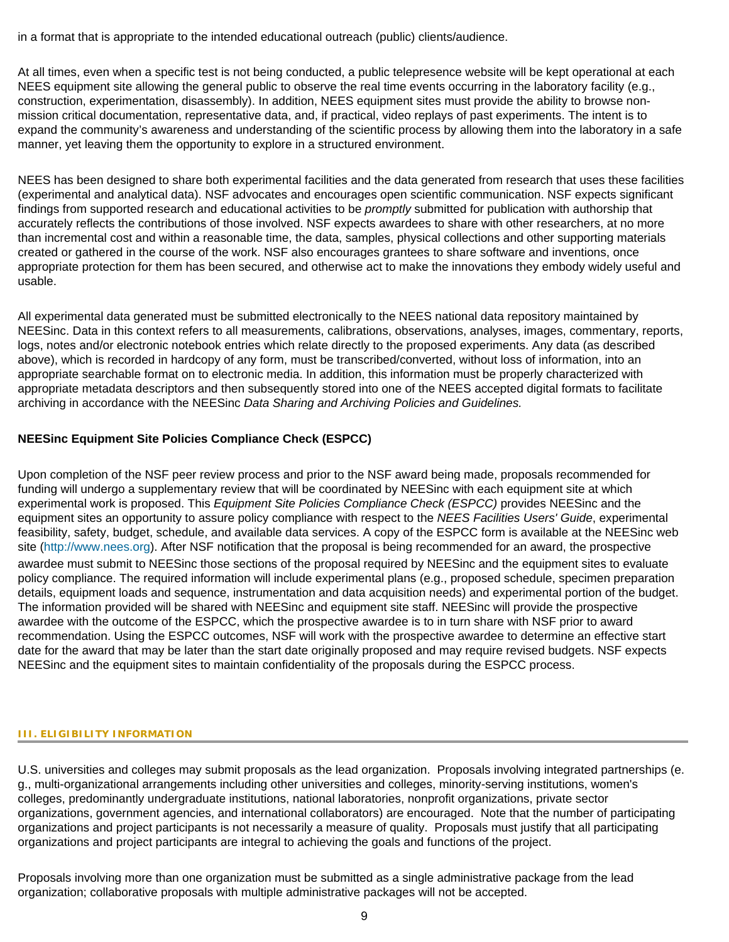in a format that is appropriate to the intended educational outreach (public) clients/audience.

At all times, even when a specific test is not being conducted, a public telepresence website will be kept operational at each NEES equipment site allowing the general public to observe the real time events occurring in the laboratory facility (e.g., construction, experimentation, disassembly). In addition, NEES equipment sites must provide the ability to browse nonmission critical documentation, representative data, and, if practical, video replays of past experiments. The intent is to expand the community's awareness and understanding of the scientific process by allowing them into the laboratory in a safe manner, yet leaving them the opportunity to explore in a structured environment.

NEES has been designed to share both experimental facilities and the data generated from research that uses these facilities (experimental and analytical data). NSF advocates and encourages open scientific communication. NSF expects significant findings from supported research and educational activities to be *promptly* submitted for publication with authorship that accurately reflects the contributions of those involved. NSF expects awardees to share with other researchers, at no more than incremental cost and within a reasonable time, the data, samples, physical collections and other supporting materials created or gathered in the course of the work. NSF also encourages grantees to share software and inventions, once appropriate protection for them has been secured, and otherwise act to make the innovations they embody widely useful and usable.

All experimental data generated must be submitted electronically to the NEES national data repository maintained by NEESinc. Data in this context refers to all measurements, calibrations, observations, analyses, images, commentary, reports, logs, notes and/or electronic notebook entries which relate directly to the proposed experiments. Any data (as described above), which is recorded in hardcopy of any form, must be transcribed/converted, without loss of information, into an appropriate searchable format on to electronic media. In addition, this information must be properly characterized with appropriate metadata descriptors and then subsequently stored into one of the NEES accepted digital formats to facilitate archiving in accordance with the NEESinc *Data Sharing and Archiving Policies and Guidelines.*

## **NEESinc Equipment Site Policies Compliance Check (ESPCC)**

Upon completion of the NSF peer review process and prior to the NSF award being made, proposals recommended for funding will undergo a supplementary review that will be coordinated by NEESinc with each equipment site at which experimental work is proposed. This *Equipment Site Policies Compliance Check (ESPCC)* provides NEESinc and the equipment sites an opportunity to assure policy compliance with respect to the *NEES Facilities Users' Guide*, experimental feasibility, safety, budget, schedule, and available data services. A copy of the ESPCC form is available at the NEESinc web site ([http://www.nees.org](http://www.nees.org/)). After NSF notification that the proposal is being recommended for an award, the prospective awardee must submit to NEESinc those sections of the proposal required by NEESinc and the equipment sites to evaluate policy compliance. The required information will include experimental plans (e.g., proposed schedule, specimen preparation details, equipment loads and sequence, instrumentation and data acquisition needs) and experimental portion of the budget. The information provided will be shared with NEESinc and equipment site staff. NEESinc will provide the prospective awardee with the outcome of the ESPCC, which the prospective awardee is to in turn share with NSF prior to award recommendation. Using the ESPCC outcomes, NSF will work with the prospective awardee to determine an effective start date for the award that may be later than the start date originally proposed and may require revised budgets. NSF expects NEESinc and the equipment sites to maintain confidentiality of the proposals during the ESPCC process.

#### <span id="page-8-0"></span>**III. ELIGIBILITY INFORMATION**

U.S. universities and colleges may submit proposals as the lead organization. Proposals involving integrated partnerships (e. g., multi-organizational arrangements including other universities and colleges, minority-serving institutions, women's colleges, predominantly undergraduate institutions, national laboratories, nonprofit organizations, private sector organizations, government agencies, and international collaborators) are encouraged. Note that the number of participating organizations and project participants is not necessarily a measure of quality. Proposals must justify that all participating organizations and project participants are integral to achieving the goals and functions of the project.

Proposals involving more than one organization must be submitted as a single administrative package from the lead organization; collaborative proposals with multiple administrative packages will not be accepted.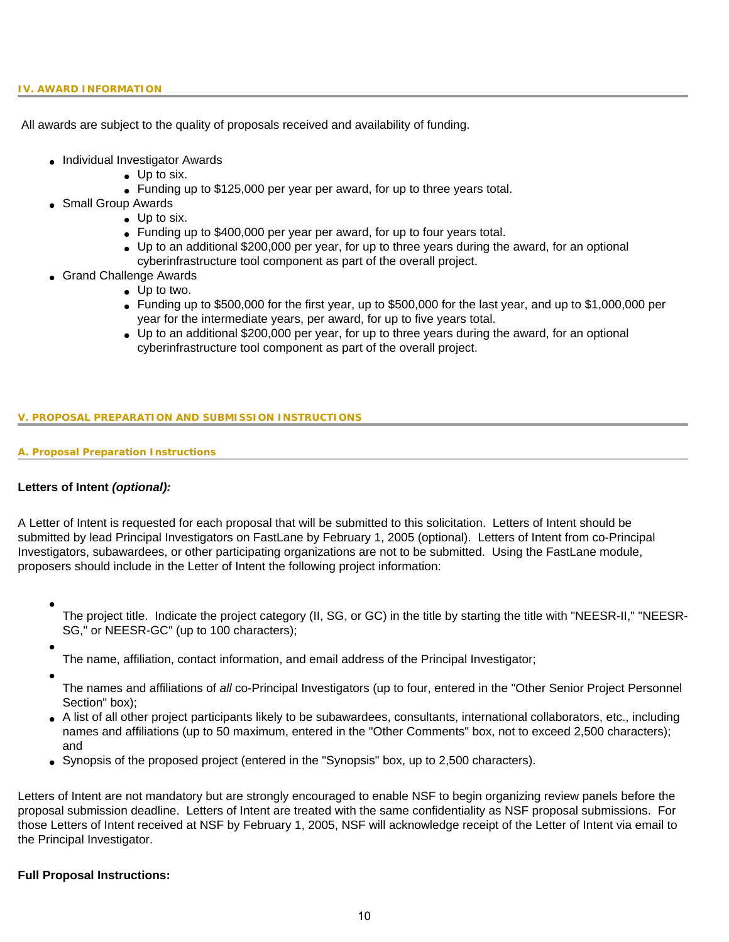<span id="page-9-0"></span>All awards are subject to the quality of proposals received and availability of funding.

- Individual Investigator Awards
	- Up to six.
	- Funding up to \$125,000 per year per award, for up to three years total.
- Small Group Awards
	- Up to six.
		- Funding up to \$400,000 per year per award, for up to four years total.
		- Up to an additional \$200,000 per year, for up to three years during the award, for an optional cyberinfrastructure tool component as part of the overall project.
- Grand Challenge Awards
	- Up to two.
	- $\bullet$  Funding up to \$500,000 for the first year, up to \$500,000 for the last year, and up to \$1,000,000 per year for the intermediate years, per award, for up to five years total.
	- Up to an additional \$200,000 per year, for up to three years during the award, for an optional cyberinfrastructure tool component as part of the overall project.

#### <span id="page-9-1"></span>**V. PROPOSAL PREPARATION AND SUBMISSION INSTRUCTIONS**

#### **A. Proposal Preparation Instructions**

## **Letters of Intent** *(optional):*

A Letter of Intent is requested for each proposal that will be submitted to this solicitation. Letters of Intent should be submitted by lead Principal Investigators on FastLane by February 1, 2005 (optional). Letters of Intent from co-Principal Investigators, subawardees, or other participating organizations are not to be submitted. Using the FastLane module, proposers should include in the Letter of Intent the following project information:

●

The project title. Indicate the project category (II, SG, or GC) in the title by starting the title with "NEESR-II," "NEESR-SG," or NEESR-GC" (up to 100 characters);

- - The name, affiliation, contact information, and email address of the Principal Investigator;
- ●
- The names and affiliations of *all* co-Principal Investigators (up to four, entered in the "Other Senior Project Personnel Section" box);
- A list of all other project participants likely to be subawardees, consultants, international collaborators, etc., including names and affiliations (up to 50 maximum, entered in the "Other Comments" box, not to exceed 2,500 characters); and
- Synopsis of the proposed project (entered in the "Synopsis" box, up to 2,500 characters).

Letters of Intent are not mandatory but are strongly encouraged to enable NSF to begin organizing review panels before the proposal submission deadline. Letters of Intent are treated with the same confidentiality as NSF proposal submissions. For those Letters of Intent received at NSF by February 1, 2005, NSF will acknowledge receipt of the Letter of Intent via email to the Principal Investigator.

#### **Full Proposal Instructions:**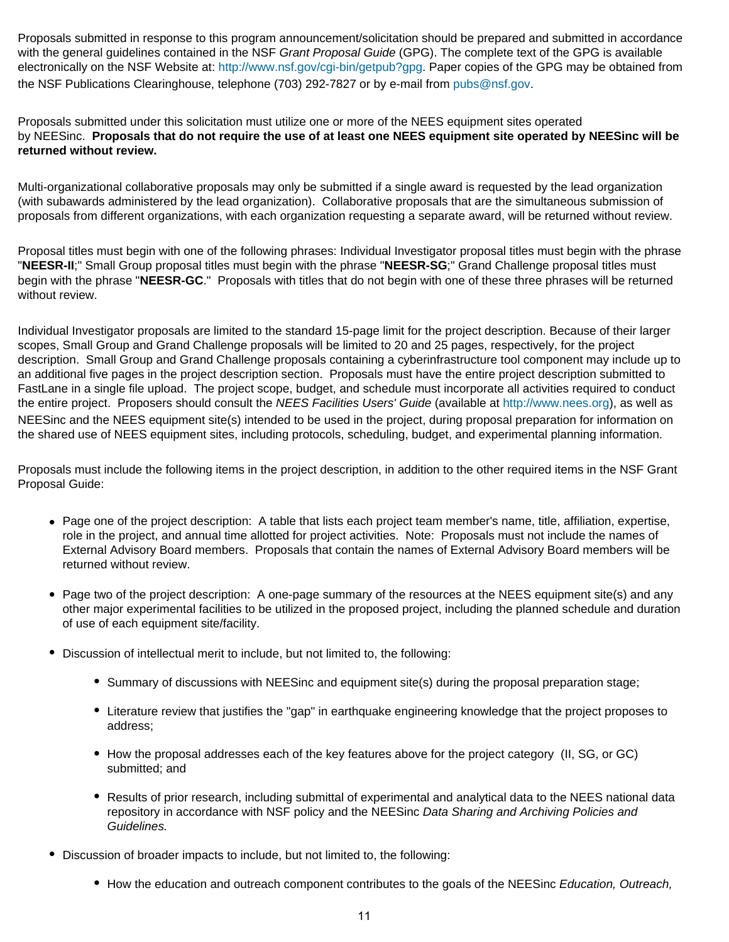Proposals submitted in response to this program announcement/solicitation should be prepared and submitted in accordance with the general guidelines contained in the NSF *Grant Proposal Guide* (GPG). The complete text of the GPG is available electronically on the NSF Website at: [http://www.nsf.gov/cgi-bin/getpub?gpg.](http://www.nsf.gov/cgi-bin/getpub?gpg) Paper copies of the GPG may be obtained from the NSF Publications Clearinghouse, telephone (703) 292-7827 or by e-mail from [pubs@nsf.gov.](mailto:pubs@nsf.gov)

Proposals submitted under this solicitation must utilize one or more of the NEES equipment sites operated by NEESinc. **Proposals that do not require the use of at least one NEES equipment site operated by NEESinc will be returned without review.**

Multi-organizational collaborative proposals may only be submitted if a single award is requested by the lead organization (with subawards administered by the lead organization). Collaborative proposals that are the simultaneous submission of proposals from different organizations, with each organization requesting a separate award, will be returned without review.

Proposal titles must begin with one of the following phrases: Individual Investigator proposal titles must begin with the phrase "**NEESR-II**;" Small Group proposal titles must begin with the phrase "**NEESR-SG**;" Grand Challenge proposal titles must begin with the phrase "**NEESR-GC**." Proposals with titles that do not begin with one of these three phrases will be returned without review.

Individual Investigator proposals are limited to the standard 15-page limit for the project description. Because of their larger scopes, Small Group and Grand Challenge proposals will be limited to 20 and 25 pages, respectively, for the project description. Small Group and Grand Challenge proposals containing a cyberinfrastructure tool component may include up to an additional five pages in the project description section. Proposals must have the entire project description submitted to FastLane in a single file upload. The project scope, budget, and schedule must incorporate all activities required to conduct the entire project. Proposers should consult the *NEES Facilities Users' Guide* (available at [http://www.nees.org\)](http://www.nees.org/), as well as NEESinc and the NEES equipment site(s) intended to be used in the project, during proposal preparation for information on the shared use of NEES equipment sites, including protocols, scheduling, budget, and experimental planning information.

Proposals must include the following items in the project description, in addition to the other required items in the NSF Grant Proposal Guide:

- Page one of the project description: A table that lists each project team member's name, title, affiliation, expertise, role in the project, and annual time allotted for project activities. Note: Proposals must not include the names of External Advisory Board members. Proposals that contain the names of External Advisory Board members will be returned without review.
- Page two of the project description: A one-page summary of the resources at the NEES equipment site(s) and any other major experimental facilities to be utilized in the proposed project, including the planned schedule and duration of use of each equipment site/facility.
- Discussion of intellectual merit to include, but not limited to, the following:
	- Summary of discussions with NEESinc and equipment site(s) during the proposal preparation stage;
	- Literature review that justifies the "gap" in earthquake engineering knowledge that the project proposes to address;
	- How the proposal addresses each of the key features above for the project category (II, SG, or GC) submitted; and
	- Results of prior research, including submittal of experimental and analytical data to the NEES national data repository in accordance with NSF policy and the NEESinc *Data Sharing and Archiving Policies and Guidelines.*
- Discussion of broader impacts to include, but not limited to, the following:
	- How the education and outreach component contributes to the goals of the NEESinc *Education, Outreach,*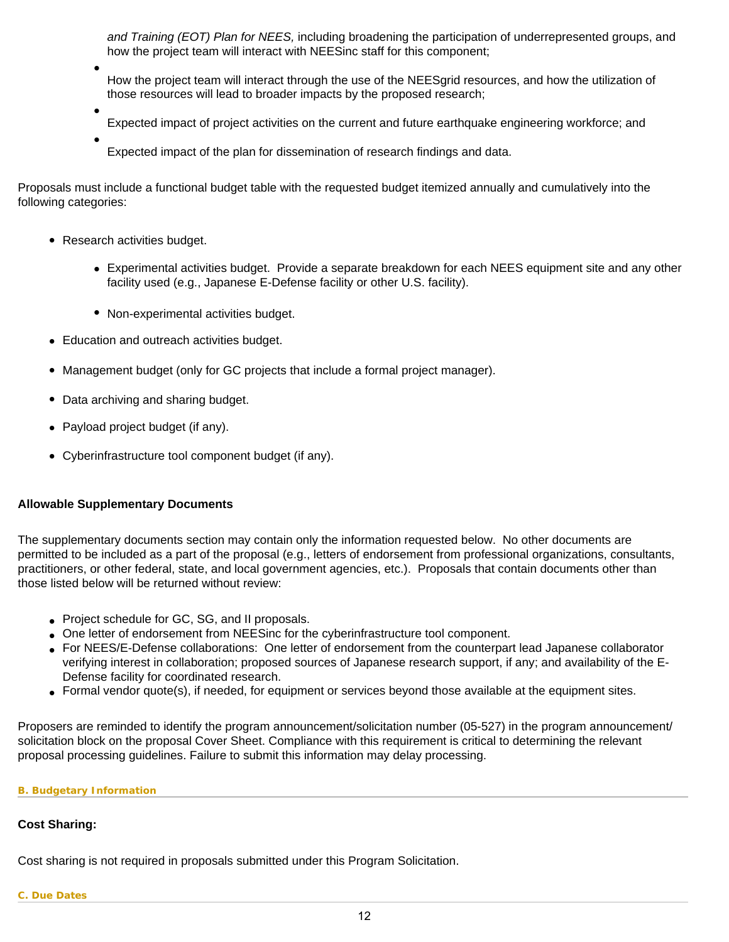*and Training (EOT) Plan for NEES,* including broadening the participation of underrepresented groups, and how the project team will interact with NEESinc staff for this component;

- How the project team will interact through the use of the NEESgrid resources, and how the utilization of those resources will lead to broader impacts by the proposed research;
- Expected impact of project activities on the current and future earthquake engineering workforce; and
- Expected impact of the plan for dissemination of research findings and data.

Proposals must include a functional budget table with the requested budget itemized annually and cumulatively into the following categories:

- Research activities budget.
	- Experimental activities budget. Provide a separate breakdown for each NEES equipment site and any other facility used (e.g., Japanese E-Defense facility or other U.S. facility).
	- Non-experimental activities budget.
- Education and outreach activities budget.
- Management budget (only for GC projects that include a formal project manager).
- Data archiving and sharing budget.
- Payload project budget (if any).
- Cyberinfrastructure tool component budget (if any).

## **Allowable Supplementary Documents**

The supplementary documents section may contain only the information requested below. No other documents are permitted to be included as a part of the proposal (e.g., letters of endorsement from professional organizations, consultants, practitioners, or other federal, state, and local government agencies, etc.). Proposals that contain documents other than those listed below will be returned without review:

- Project schedule for GC, SG, and II proposals.
- One letter of endorsement from NEESinc for the cyberinfrastructure tool component.
- For NEES/E-Defense collaborations: One letter of endorsement from the counterpart lead Japanese collaborator verifying interest in collaboration; proposed sources of Japanese research support, if any; and availability of the E-Defense facility for coordinated research.
- Formal vendor quote(s), if needed, for equipment or services beyond those available at the equipment sites.

Proposers are reminded to identify the program announcement/solicitation number (05-527) in the program announcement/ solicitation block on the proposal Cover Sheet. Compliance with this requirement is critical to determining the relevant proposal processing guidelines. Failure to submit this information may delay processing.

#### <span id="page-11-0"></span>**B. Budgetary Information**

## **Cost Sharing:**

<span id="page-11-1"></span>Cost sharing is not required in proposals submitted under this Program Solicitation.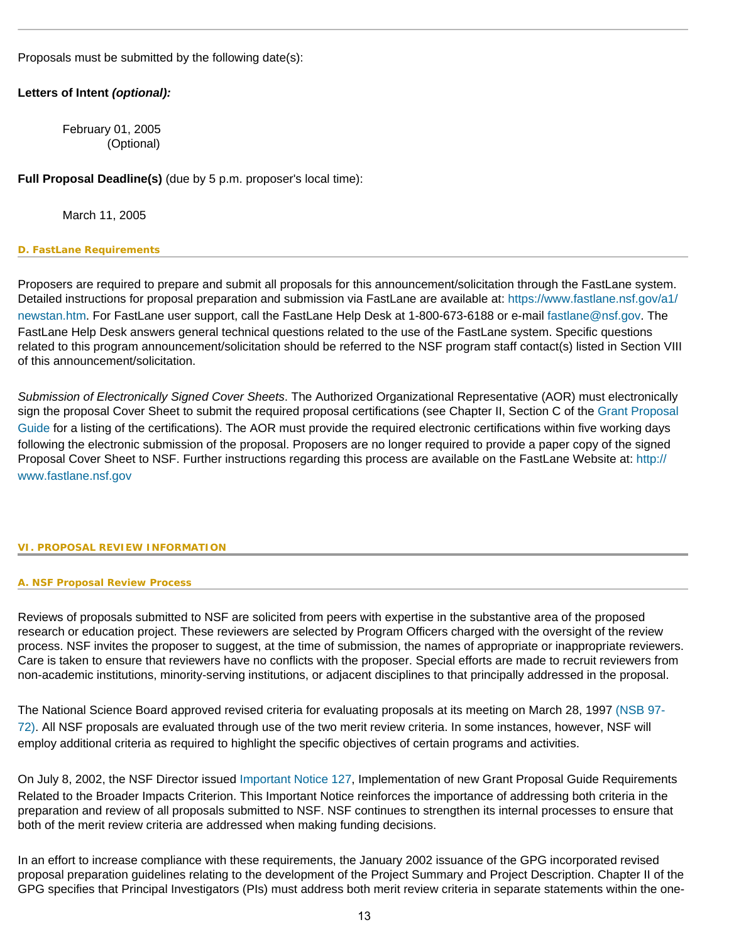Proposals must be submitted by the following date(s):

## **Letters of Intent** *(optional):*

February 01, 2005 (Optional)

**Full Proposal Deadline(s)** (due by 5 p.m. proposer's local time):

March 11, 2005

#### <span id="page-12-0"></span>**D. FastLane Requirements**

Proposers are required to prepare and submit all proposals for this announcement/solicitation through the FastLane system. Detailed instructions for proposal preparation and submission via FastLane are available at: [https://www.fastlane.nsf.gov/a1/](https://www.fastlane.nsf.gov/a1/newstan.htm) [newstan.htm](https://www.fastlane.nsf.gov/a1/newstan.htm). For FastLane user support, call the FastLane Help Desk at 1-800-673-6188 or e-mail [fastlane@nsf.gov](mailto:fastlane@nsf.gov). The FastLane Help Desk answers general technical questions related to the use of the FastLane system. Specific questions related to this program announcement/solicitation should be referred to the NSF program staff contact(s) listed in Section VIII of this announcement/solicitation.

*Submission of Electronically Signed Cover Sheets*. The Authorized Organizational Representative (AOR) must electronically sign the proposal Cover Sheet to submit the required proposal certifications (see Chapter II, Section C of the [Grant Proposal](http://www.nsf.gov/pubsys/ods/getpub.cfm?gpg) [Guide](http://www.nsf.gov/pubsys/ods/getpub.cfm?gpg) for a listing of the certifications). The AOR must provide the required electronic certifications within five working days following the electronic submission of the proposal. Proposers are no longer required to provide a paper copy of the signed Proposal Cover Sheet to NSF. Further instructions regarding this process are available on the FastLane Website at: [http://](http://www.fastlane.nsf.gov/) [www.fastlane.nsf.gov](http://www.fastlane.nsf.gov/)

#### <span id="page-12-2"></span><span id="page-12-1"></span>**VI. PROPOSAL REVIEW INFORMATION**

#### **A. NSF Proposal Review Process**

Reviews of proposals submitted to NSF are solicited from peers with expertise in the substantive area of the proposed research or education project. These reviewers are selected by Program Officers charged with the oversight of the review process. NSF invites the proposer to suggest, at the time of submission, the names of appropriate or inappropriate reviewers. Care is taken to ensure that reviewers have no conflicts with the proposer. Special efforts are made to recruit reviewers from non-academic institutions, minority-serving institutions, or adjacent disciplines to that principally addressed in the proposal.

The National Science Board approved revised criteria for evaluating proposals at its meeting on March 28, 1997 [\(NSB 97-](http://www.nsf.gov/pubsys/ods/getpub.cfm?nsb9772) [72\).](http://www.nsf.gov/pubsys/ods/getpub.cfm?nsb9772) All NSF proposals are evaluated through use of the two merit review criteria. In some instances, however, NSF will employ additional criteria as required to highlight the specific objectives of certain programs and activities.

On July 8, 2002, the NSF Director issued [Important Notice 127](http://www.nsf.gov/pubsys/ods/getpub.cfm?iin127), Implementation of new Grant Proposal Guide Requirements Related to the Broader Impacts Criterion. This Important Notice reinforces the importance of addressing both criteria in the preparation and review of all proposals submitted to NSF. NSF continues to strengthen its internal processes to ensure that both of the merit review criteria are addressed when making funding decisions.

In an effort to increase compliance with these requirements, the January 2002 issuance of the GPG incorporated revised proposal preparation guidelines relating to the development of the Project Summary and Project Description. Chapter II of the GPG specifies that Principal Investigators (PIs) must address both merit review criteria in separate statements within the one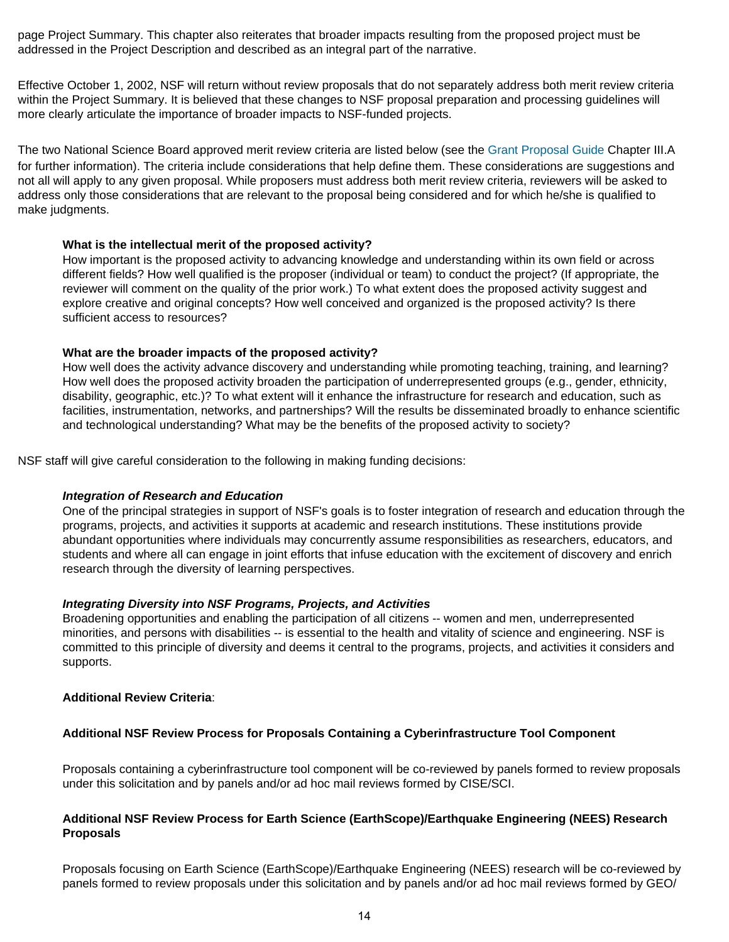page Project Summary. This chapter also reiterates that broader impacts resulting from the proposed project must be addressed in the Project Description and described as an integral part of the narrative.

Effective October 1, 2002, NSF will return without review proposals that do not separately address both merit review criteria within the Project Summary. It is believed that these changes to NSF proposal preparation and processing guidelines will more clearly articulate the importance of broader impacts to NSF-funded projects.

The two National Science Board approved merit review criteria are listed below (see the [Grant Proposal Guide](http://www.nsf.gov/pubsys/ods/getpub.cfm?gpg) Chapter III.A for further information). The criteria include considerations that help define them. These considerations are suggestions and not all will apply to any given proposal. While proposers must address both merit review criteria, reviewers will be asked to address only those considerations that are relevant to the proposal being considered and for which he/she is qualified to make judgments.

### **What is the intellectual merit of the proposed activity?**

How important is the proposed activity to advancing knowledge and understanding within its own field or across different fields? How well qualified is the proposer (individual or team) to conduct the project? (If appropriate, the reviewer will comment on the quality of the prior work.) To what extent does the proposed activity suggest and explore creative and original concepts? How well conceived and organized is the proposed activity? Is there sufficient access to resources?

### **What are the broader impacts of the proposed activity?**

How well does the activity advance discovery and understanding while promoting teaching, training, and learning? How well does the proposed activity broaden the participation of underrepresented groups (e.g., gender, ethnicity, disability, geographic, etc.)? To what extent will it enhance the infrastructure for research and education, such as facilities, instrumentation, networks, and partnerships? Will the results be disseminated broadly to enhance scientific and technological understanding? What may be the benefits of the proposed activity to society?

NSF staff will give careful consideration to the following in making funding decisions:

#### *Integration of Research and Education*

One of the principal strategies in support of NSF's goals is to foster integration of research and education through the programs, projects, and activities it supports at academic and research institutions. These institutions provide abundant opportunities where individuals may concurrently assume responsibilities as researchers, educators, and students and where all can engage in joint efforts that infuse education with the excitement of discovery and enrich research through the diversity of learning perspectives.

#### *Integrating Diversity into NSF Programs, Projects, and Activities*

Broadening opportunities and enabling the participation of all citizens -- women and men, underrepresented minorities, and persons with disabilities -- is essential to the health and vitality of science and engineering. NSF is committed to this principle of diversity and deems it central to the programs, projects, and activities it considers and supports.

#### **Additional Review Criteria**:

## **Additional NSF Review Process for Proposals Containing a Cyberinfrastructure Tool Component**

Proposals containing a cyberinfrastructure tool component will be co-reviewed by panels formed to review proposals under this solicitation and by panels and/or ad hoc mail reviews formed by CISE/SCI.

### **Additional NSF Review Process for Earth Science (EarthScope)/Earthquake Engineering (NEES) Research Proposals**

Proposals focusing on Earth Science (EarthScope)/Earthquake Engineering (NEES) research will be co-reviewed by panels formed to review proposals under this solicitation and by panels and/or ad hoc mail reviews formed by GEO/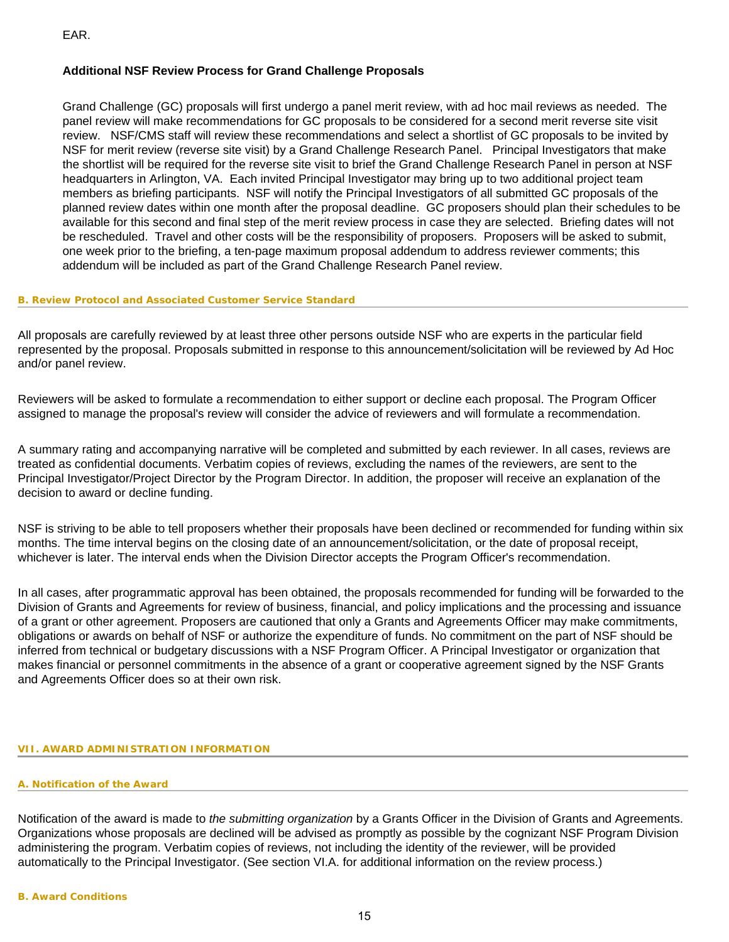EAR.

### **Additional NSF Review Process for Grand Challenge Proposals**

Grand Challenge (GC) proposals will first undergo a panel merit review, with ad hoc mail reviews as needed. The panel review will make recommendations for GC proposals to be considered for a second merit reverse site visit review. NSF/CMS staff will review these recommendations and select a shortlist of GC proposals to be invited by NSF for merit review (reverse site visit) by a Grand Challenge Research Panel. Principal Investigators that make the shortlist will be required for the reverse site visit to brief the Grand Challenge Research Panel in person at NSF headquarters in Arlington, VA. Each invited Principal Investigator may bring up to two additional project team members as briefing participants. NSF will notify the Principal Investigators of all submitted GC proposals of the planned review dates within one month after the proposal deadline. GC proposers should plan their schedules to be available for this second and final step of the merit review process in case they are selected. Briefing dates will not be rescheduled. Travel and other costs will be the responsibility of proposers. Proposers will be asked to submit, one week prior to the briefing, a ten-page maximum proposal addendum to address reviewer comments; this addendum will be included as part of the Grand Challenge Research Panel review.

#### <span id="page-14-0"></span>**B. Review Protocol and Associated Customer Service Standard**

All proposals are carefully reviewed by at least three other persons outside NSF who are experts in the particular field represented by the proposal. Proposals submitted in response to this announcement/solicitation will be reviewed by Ad Hoc and/or panel review.

Reviewers will be asked to formulate a recommendation to either support or decline each proposal. The Program Officer assigned to manage the proposal's review will consider the advice of reviewers and will formulate a recommendation.

A summary rating and accompanying narrative will be completed and submitted by each reviewer. In all cases, reviews are treated as confidential documents. Verbatim copies of reviews, excluding the names of the reviewers, are sent to the Principal Investigator/Project Director by the Program Director. In addition, the proposer will receive an explanation of the decision to award or decline funding.

NSF is striving to be able to tell proposers whether their proposals have been declined or recommended for funding within six months. The time interval begins on the closing date of an announcement/solicitation, or the date of proposal receipt, whichever is later. The interval ends when the Division Director accepts the Program Officer's recommendation.

In all cases, after programmatic approval has been obtained, the proposals recommended for funding will be forwarded to the Division of Grants and Agreements for review of business, financial, and policy implications and the processing and issuance of a grant or other agreement. Proposers are cautioned that only a Grants and Agreements Officer may make commitments, obligations or awards on behalf of NSF or authorize the expenditure of funds. No commitment on the part of NSF should be inferred from technical or budgetary discussions with a NSF Program Officer. A Principal Investigator or organization that makes financial or personnel commitments in the absence of a grant or cooperative agreement signed by the NSF Grants and Agreements Officer does so at their own risk.

#### <span id="page-14-2"></span><span id="page-14-1"></span>**VII. AWARD ADMINISTRATION INFORMATION**

#### **A. Notification of the Award**

<span id="page-14-3"></span>Notification of the award is made to *the submitting organization* by a Grants Officer in the Division of Grants and Agreements. Organizations whose proposals are declined will be advised as promptly as possible by the cognizant NSF Program Division administering the program. Verbatim copies of reviews, not including the identity of the reviewer, will be provided automatically to the Principal Investigator. (See section VI.A. for additional information on the review process.)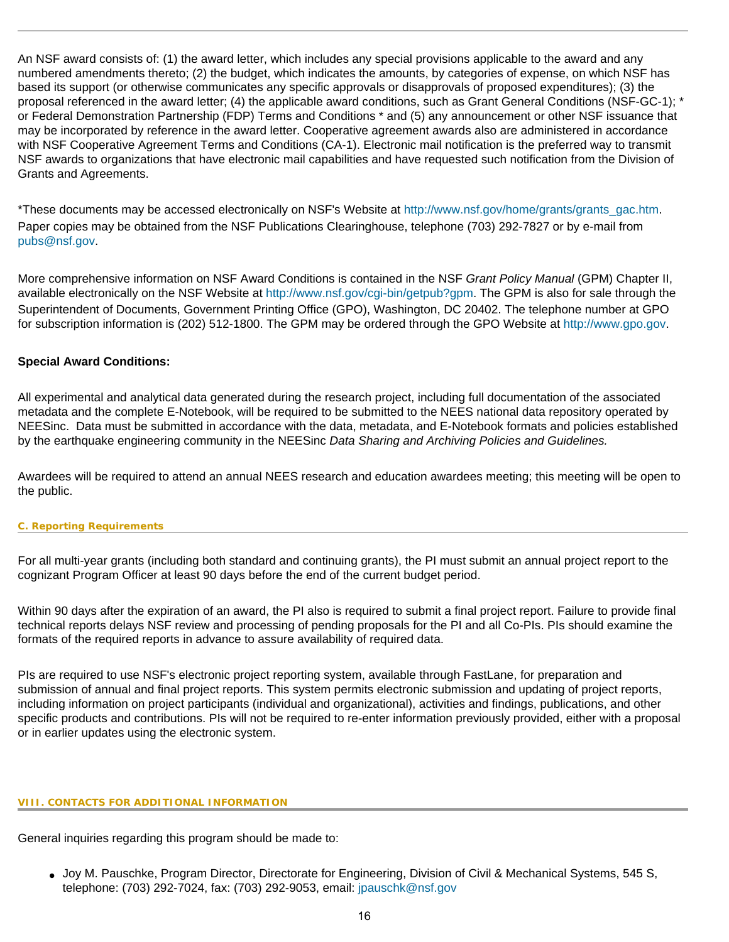An NSF award consists of: (1) the award letter, which includes any special provisions applicable to the award and any numbered amendments thereto; (2) the budget, which indicates the amounts, by categories of expense, on which NSF has based its support (or otherwise communicates any specific approvals or disapprovals of proposed expenditures); (3) the proposal referenced in the award letter; (4) the applicable award conditions, such as Grant General Conditions (NSF-GC-1); \* or Federal Demonstration Partnership (FDP) Terms and Conditions \* and (5) any announcement or other NSF issuance that may be incorporated by reference in the award letter. Cooperative agreement awards also are administered in accordance with NSF Cooperative Agreement Terms and Conditions (CA-1). Electronic mail notification is the preferred way to transmit NSF awards to organizations that have electronic mail capabilities and have requested such notification from the Division of Grants and Agreements.

\*These documents may be accessed electronically on NSF's Website at [http://www.nsf.gov/home/grants/grants\\_gac.htm](http://www.nsf.gov/home/grants/grants_gac.htm). Paper copies may be obtained from the NSF Publications Clearinghouse, telephone (703) 292-7827 or by e-mail from [pubs@nsf.gov.](mailto:pubs@nsf.gov)

More comprehensive information on NSF Award Conditions is contained in the NSF *Grant Policy Manual* (GPM) Chapter II, available electronically on the NSF Website at [http://www.nsf.gov/cgi-bin/getpub?gpm.](http://www.nsf.gov/cgi-bin/getpub?gpm) The GPM is also for sale through the Superintendent of Documents, Government Printing Office (GPO), Washington, DC 20402. The telephone number at GPO for subscription information is (202) 512-1800. The GPM may be ordered through the GPO Website at [http://www.gpo.gov](http://www.gpo.gov/).

## **Special Award Conditions:**

All experimental and analytical data generated during the research project, including full documentation of the associated metadata and the complete E-Notebook, will be required to be submitted to the NEES national data repository operated by NEESinc. Data must be submitted in accordance with the data, metadata, and E-Notebook formats and policies established by the earthquake engineering community in the NEESinc *Data Sharing and Archiving Policies and Guidelines.*

Awardees will be required to attend an annual NEES research and education awardees meeting; this meeting will be open to the public.

#### <span id="page-15-0"></span>**C. Reporting Requirements**

For all multi-year grants (including both standard and continuing grants), the PI must submit an annual project report to the cognizant Program Officer at least 90 days before the end of the current budget period.

Within 90 days after the expiration of an award, the PI also is required to submit a final project report. Failure to provide final technical reports delays NSF review and processing of pending proposals for the PI and all Co-PIs. PIs should examine the formats of the required reports in advance to assure availability of required data.

PIs are required to use NSF's electronic project reporting system, available through FastLane, for preparation and submission of annual and final project reports. This system permits electronic submission and updating of project reports, including information on project participants (individual and organizational), activities and findings, publications, and other specific products and contributions. PIs will not be required to re-enter information previously provided, either with a proposal or in earlier updates using the electronic system.

#### <span id="page-15-1"></span>**VIII. CONTACTS FOR ADDITIONAL INFORMATION**

General inquiries regarding this program should be made to:

● Joy M. Pauschke, Program Director, Directorate for Engineering, Division of Civil & Mechanical Systems, 545 S, telephone: (703) 292-7024, fax: (703) 292-9053, email: [jpauschk@nsf.gov](mailto:jpauschk@nsf.gov)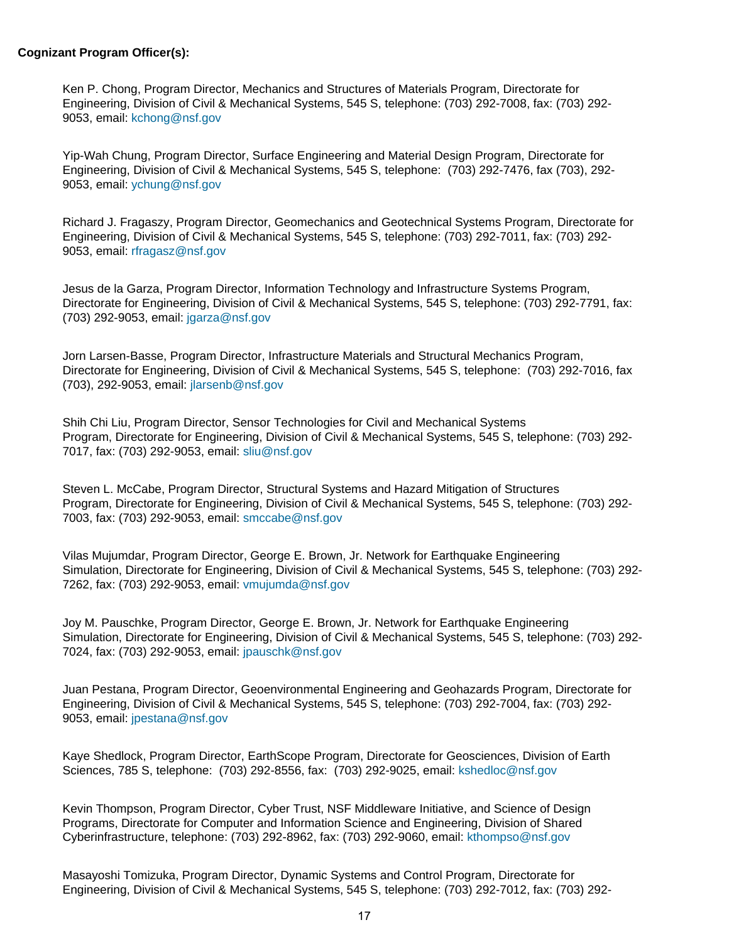### **Cognizant Program Officer(s):**

Ken P. Chong, Program Director, Mechanics and Structures of Materials Program, Directorate for Engineering, Division of Civil & Mechanical Systems, 545 S, telephone: (703) 292-7008, fax: (703) 292- 9053, email: [kchong@nsf.gov](mailto:kchong@nsf.gov) 

Yip-Wah Chung, Program Director, Surface Engineering and Material Design Program, Directorate for Engineering, Division of Civil & Mechanical Systems, 545 S, telephone: (703) 292-7476, fax (703), 292- 9053, email: [ychung@nsf.gov](mailto:ychung@nsf.gov)

Richard J. Fragaszy, Program Director, Geomechanics and Geotechnical Systems Program, Directorate for Engineering, Division of Civil & Mechanical Systems, 545 S, telephone: (703) 292-7011, fax: (703) 292- 9053, email: [rfragasz@nsf.gov](mailto:rfragasz@nsf.gov) 

Jesus de la Garza, Program Director, Information Technology and Infrastructure Systems Program, Directorate for Engineering, Division of Civil & Mechanical Systems, 545 S, telephone: (703) 292-7791, fax: (703) 292-9053, email: [jgarza@nsf.gov](mailto:jgarza@nsf.gov)

Jorn Larsen-Basse, Program Director, Infrastructure Materials and Structural Mechanics Program, Directorate for Engineering, Division of Civil & Mechanical Systems, 545 S, telephone: (703) 292-7016, fax (703), 292-9053, email: [jlarsenb@nsf.gov](mailto:jlarsenb@nsf.gov)

Shih Chi Liu, Program Director, Sensor Technologies for Civil and Mechanical Systems Program, Directorate for Engineering, Division of Civil & Mechanical Systems, 545 S, telephone: (703) 292- 7017, fax: (703) 292-9053, email: [sliu@nsf.gov](mailto:sliu@nsf.gov)

Steven L. McCabe, Program Director, Structural Systems and Hazard Mitigation of Structures Program, Directorate for Engineering, Division of Civil & Mechanical Systems, 545 S, telephone: (703) 292- 7003, fax: (703) 292-9053, email: [smccabe@nsf.gov](mailto:smccabe@nsf.gov)

Vilas Mujumdar, Program Director, George E. Brown, Jr. Network for Earthquake Engineering Simulation, Directorate for Engineering, Division of Civil & Mechanical Systems, 545 S, telephone: (703) 292- 7262, fax: (703) 292-9053, email: [vmujumda@nsf.gov](mailto:vmujumda@nsf.gov)

Joy M. Pauschke, Program Director, George E. Brown, Jr. Network for Earthquake Engineering Simulation, Directorate for Engineering, Division of Civil & Mechanical Systems, 545 S, telephone: (703) 292- 7024, fax: (703) 292-9053, email: [jpauschk@nsf.gov](mailto:jpauschk@nsf.gov)

Juan Pestana, Program Director, Geoenvironmental Engineering and Geohazards Program, Directorate for Engineering, Division of Civil & Mechanical Systems, 545 S, telephone: (703) 292-7004, fax: (703) 292- 9053, email: [jpestana@nsf.gov](mailto:jpestana@nsf.gov)

Kaye Shedlock, Program Director, EarthScope Program, Directorate for Geosciences, Division of Earth Sciences, 785 S, telephone: (703) 292-8556, fax: (703) 292-9025, email: [kshedloc@nsf.gov](mailto:kshedloc@nsf.gov)

Kevin Thompson, Program Director, Cyber Trust, NSF Middleware Initiative, and Science of Design Programs, Directorate for Computer and Information Science and Engineering, Division of Shared Cyberinfrastructure, telephone: (703) 292-8962, fax: (703) 292-9060, email: [kthompso@nsf.gov](mailto:kthompso@nsf.gov)

Masayoshi Tomizuka, Program Director, Dynamic Systems and Control Program, Directorate for Engineering, Division of Civil & Mechanical Systems, 545 S, telephone: (703) 292-7012, fax: (703) 292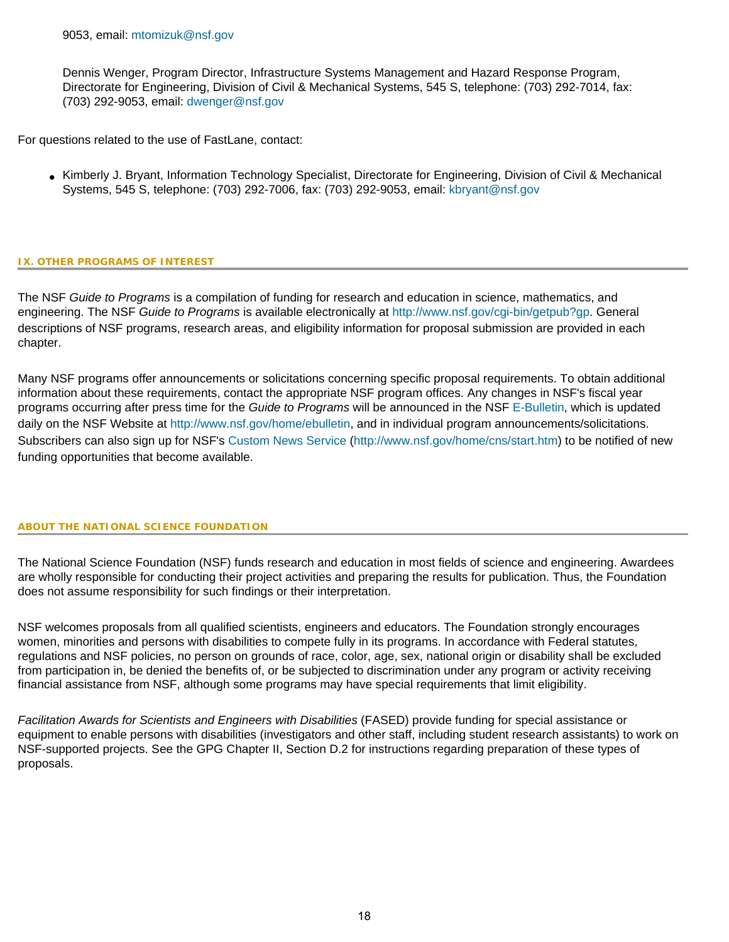Dennis Wenger, Program Director, Infrastructure Systems Management and Hazard Response Program, Directorate for Engineering, Division of Civil & Mechanical Systems, 545 S, telephone: (703) 292-7014, fax: (703) 292-9053, email: [dwenger@nsf.gov](mailto:dwenger@nsf.gov)

For questions related to the use of FastLane, contact:

● Kimberly J. Bryant, Information Technology Specialist, Directorate for Engineering, Division of Civil & Mechanical Systems, 545 S, telephone: (703) 292-7006, fax: (703) 292-9053, email: [kbryant@nsf.gov](mailto:kbryant@nsf.gov)

#### <span id="page-17-0"></span>**IX. OTHER PROGRAMS OF INTEREST**

The NSF *Guide to Programs* is a compilation of funding for research and education in science, mathematics, and engineering. The NSF *Guide to Programs* is available electronically at <http://www.nsf.gov/cgi-bin/getpub?gp>. General descriptions of NSF programs, research areas, and eligibility information for proposal submission are provided in each chapter.

Many NSF programs offer announcements or solicitations concerning specific proposal requirements. To obtain additional information about these requirements, contact the appropriate NSF program offices. Any changes in NSF's fiscal year programs occurring after press time for the *Guide to Programs* will be announced in the NSF [E-Bulletin](http://www.nsf.gov/home/ebulletin), which is updated daily on the NSF Website at<http://www.nsf.gov/home/ebulletin>, and in individual program announcements/solicitations. Subscribers can also sign up for NSF's [Custom News Service](http://www.nsf.gov/home/cns/start.htm) [\(http://www.nsf.gov/home/cns/start.htm\)](http://www.nsf.gov/home/cns/start.htm) to be notified of new funding opportunities that become available.

#### **ABOUT THE NATIONAL SCIENCE FOUNDATION**

The National Science Foundation (NSF) funds research and education in most fields of science and engineering. Awardees are wholly responsible for conducting their project activities and preparing the results for publication. Thus, the Foundation does not assume responsibility for such findings or their interpretation.

NSF welcomes proposals from all qualified scientists, engineers and educators. The Foundation strongly encourages women, minorities and persons with disabilities to compete fully in its programs. In accordance with Federal statutes, regulations and NSF policies, no person on grounds of race, color, age, sex, national origin or disability shall be excluded from participation in, be denied the benefits of, or be subjected to discrimination under any program or activity receiving financial assistance from NSF, although some programs may have special requirements that limit eligibility.

*Facilitation Awards for Scientists and Engineers with Disabilities* (FASED) provide funding for special assistance or equipment to enable persons with disabilities (investigators and other staff, including student research assistants) to work on NSF-supported projects. See the GPG Chapter II, Section D.2 for instructions regarding preparation of these types of proposals.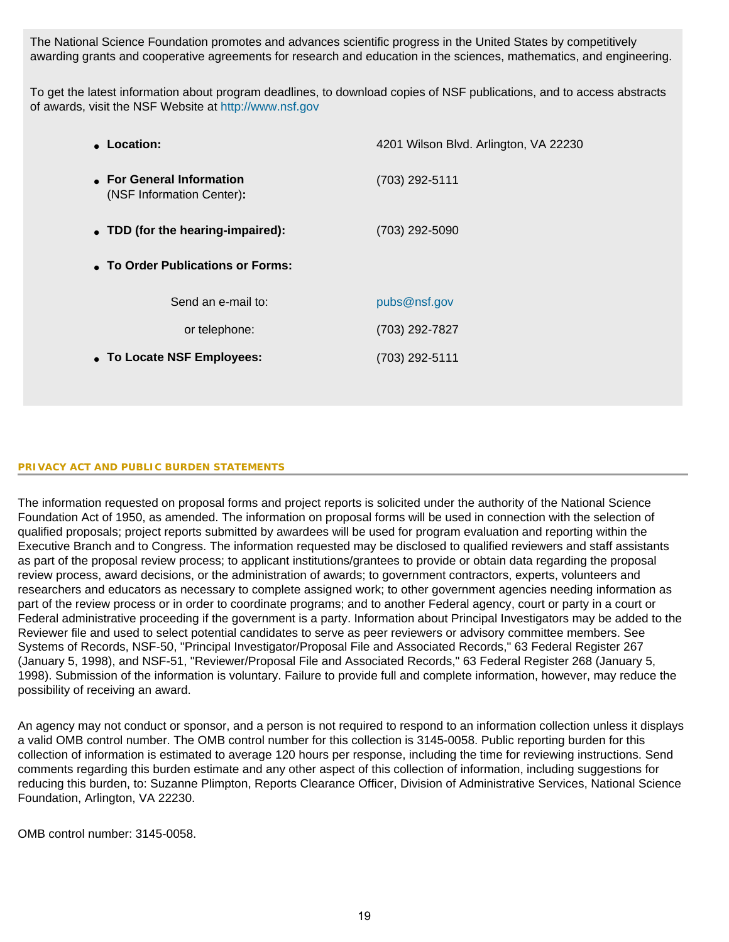The National Science Foundation promotes and advances scientific progress in the United States by competitively awarding grants and cooperative agreements for research and education in the sciences, mathematics, and engineering.

To get the latest information about program deadlines, to download copies of NSF publications, and to access abstracts of awards, visit the NSF Website at [http://www.nsf.gov](http://www.nsf.gov/)

| • Location:                                            | 4201 Wilson Blvd. Arlington, VA 22230 |
|--------------------------------------------------------|---------------------------------------|
| • For General Information<br>(NSF Information Center): | (703) 292-5111                        |
| • TDD (for the hearing-impaired):                      | (703) 292-5090                        |
| • To Order Publications or Forms:                      |                                       |
| Send an e-mail to:                                     | pubs@nsf.gov                          |
| or telephone:                                          | (703) 292-7827                        |
| • To Locate NSF Employees:                             | (703) 292-5111                        |
|                                                        |                                       |

#### **PRIVACY ACT AND PUBLIC BURDEN STATEMENTS**

The information requested on proposal forms and project reports is solicited under the authority of the National Science Foundation Act of 1950, as amended. The information on proposal forms will be used in connection with the selection of qualified proposals; project reports submitted by awardees will be used for program evaluation and reporting within the Executive Branch and to Congress. The information requested may be disclosed to qualified reviewers and staff assistants as part of the proposal review process; to applicant institutions/grantees to provide or obtain data regarding the proposal review process, award decisions, or the administration of awards; to government contractors, experts, volunteers and researchers and educators as necessary to complete assigned work; to other government agencies needing information as part of the review process or in order to coordinate programs; and to another Federal agency, court or party in a court or Federal administrative proceeding if the government is a party. Information about Principal Investigators may be added to the Reviewer file and used to select potential candidates to serve as peer reviewers or advisory committee members. See Systems of Records, NSF-50, "Principal Investigator/Proposal File and Associated Records," 63 Federal Register 267 (January 5, 1998), and NSF-51, "Reviewer/Proposal File and Associated Records," 63 Federal Register 268 (January 5, 1998). Submission of the information is voluntary. Failure to provide full and complete information, however, may reduce the possibility of receiving an award.

An agency may not conduct or sponsor, and a person is not required to respond to an information collection unless it displays a valid OMB control number. The OMB control number for this collection is 3145-0058. Public reporting burden for this collection of information is estimated to average 120 hours per response, including the time for reviewing instructions. Send comments regarding this burden estimate and any other aspect of this collection of information, including suggestions for reducing this burden, to: Suzanne Plimpton, Reports Clearance Officer, Division of Administrative Services, National Science Foundation, Arlington, VA 22230.

OMB control number: 3145-0058.